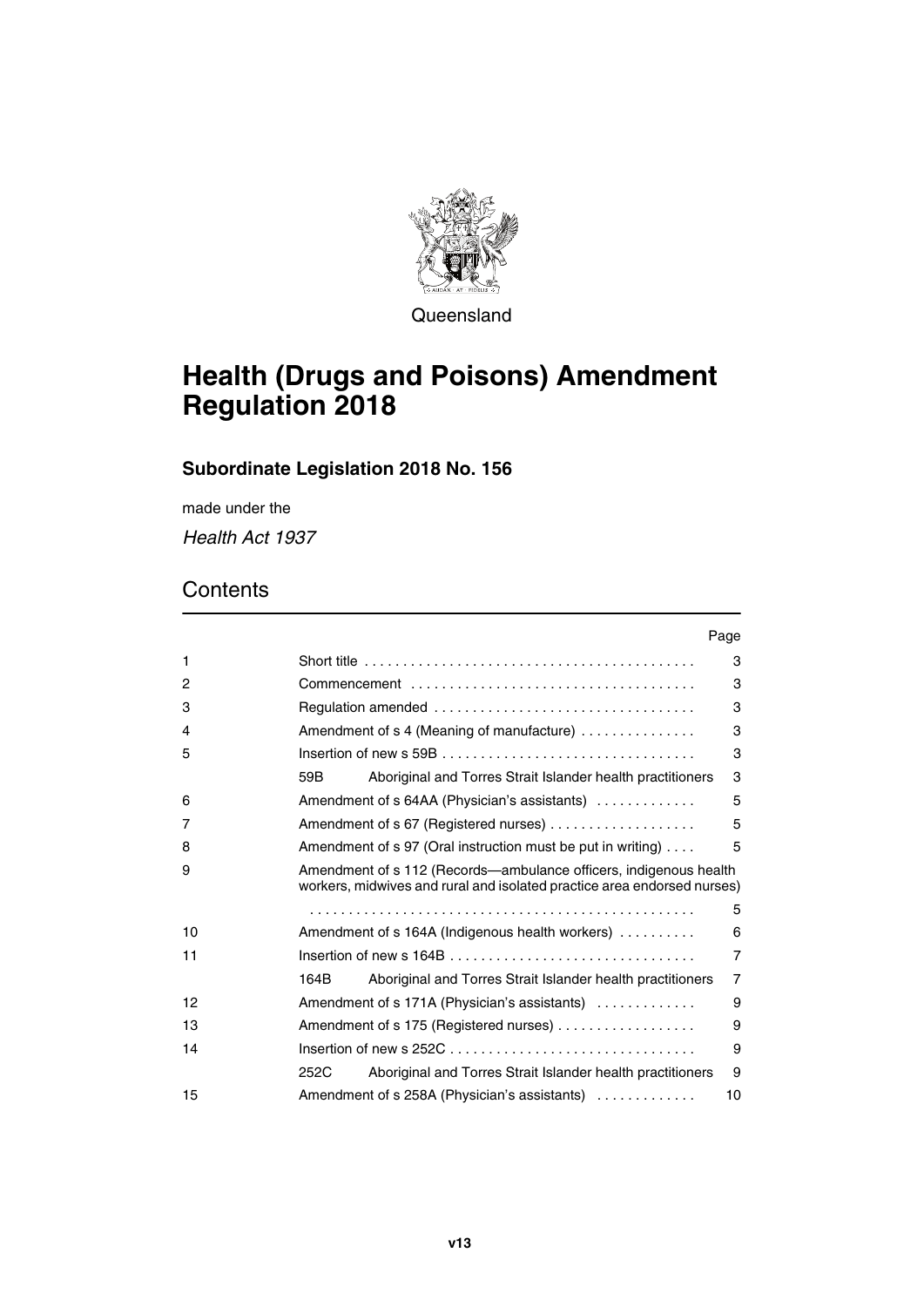

**Queensland** 

# **Health (Drugs and Poisons) Amendment Regulation 2018**

# **Subordinate Legislation 2018 No. 156**

made under the

*Health Act 1937*

# **Contents**

|    | Page                                                                                                                                         |
|----|----------------------------------------------------------------------------------------------------------------------------------------------|
| 1  | 3                                                                                                                                            |
| 2  | 3                                                                                                                                            |
| 3  | 3                                                                                                                                            |
| 4  | Amendment of s 4 (Meaning of manufacture)<br>3                                                                                               |
| 5  | 3                                                                                                                                            |
|    | 3<br>59B<br>Aboriginal and Torres Strait Islander health practitioners                                                                       |
| 6  | 5<br>Amendment of s 64AA (Physician's assistants)                                                                                            |
| 7  | 5                                                                                                                                            |
| 8  | Amendment of s 97 (Oral instruction must be put in writing)<br>5                                                                             |
| 9  | Amendment of s 112 (Records—ambulance officers, indigenous health<br>workers, midwives and rural and isolated practice area endorsed nurses) |
|    | 5                                                                                                                                            |
| 10 | 6<br>Amendment of s 164A (Indigenous health workers)                                                                                         |
| 11 | $\overline{7}$                                                                                                                               |
|    | $\overline{7}$<br>164B<br>Aboriginal and Torres Strait Islander health practitioners                                                         |
| 12 | Amendment of s 171A (Physician's assistants)<br>9                                                                                            |
| 13 | Amendment of s 175 (Registered nurses)<br>9                                                                                                  |
| 14 | 9                                                                                                                                            |
|    | 9<br>252C<br>Aboriginal and Torres Strait Islander health practitioners                                                                      |
| 15 | Amendment of s 258A (Physician's assistants)<br>10                                                                                           |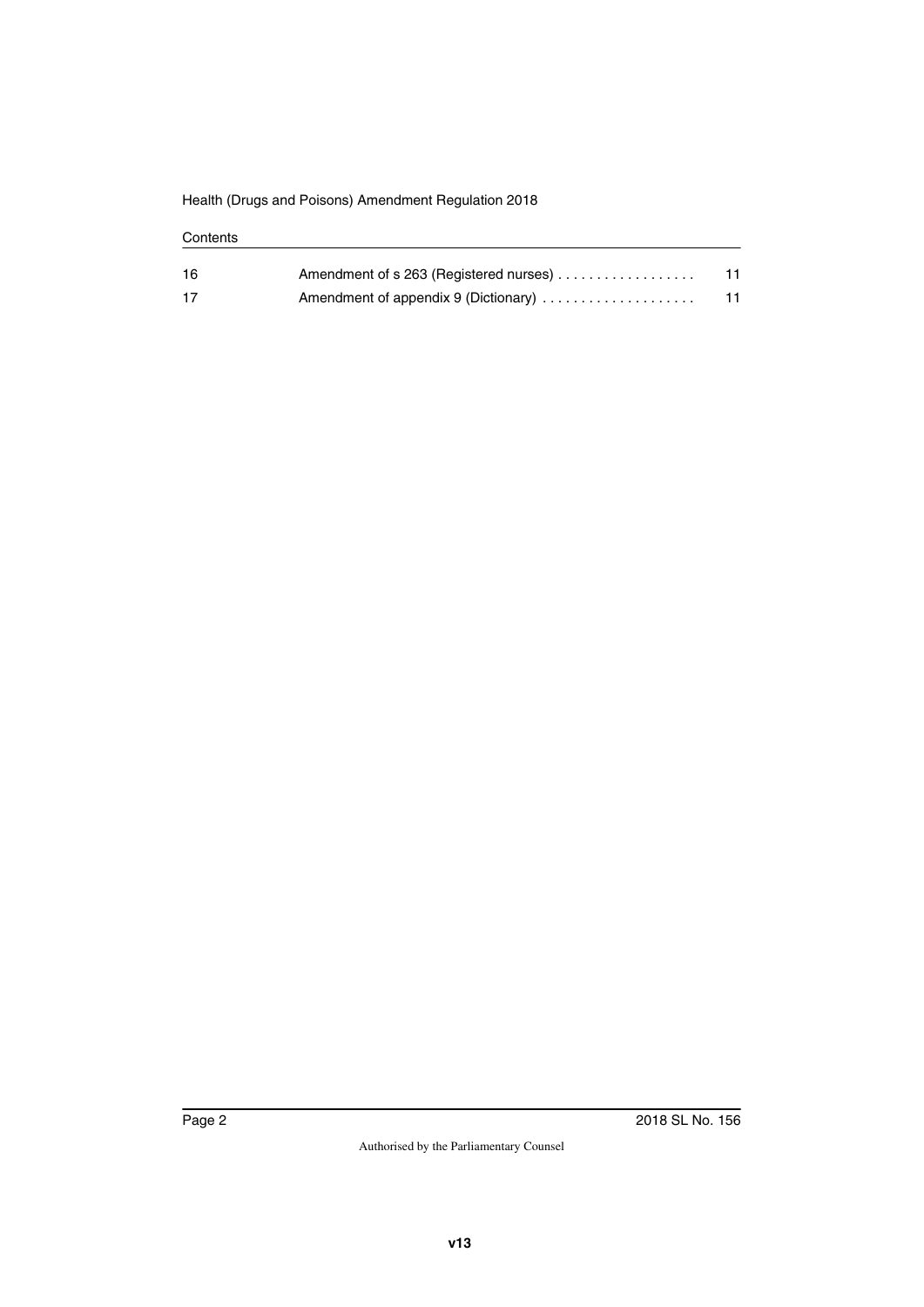#### **Contents**

| 16 | Amendment of s 263 (Registered nurses) | 11 |
|----|----------------------------------------|----|
| 17 | Amendment of appendix 9 (Dictionary)   | 11 |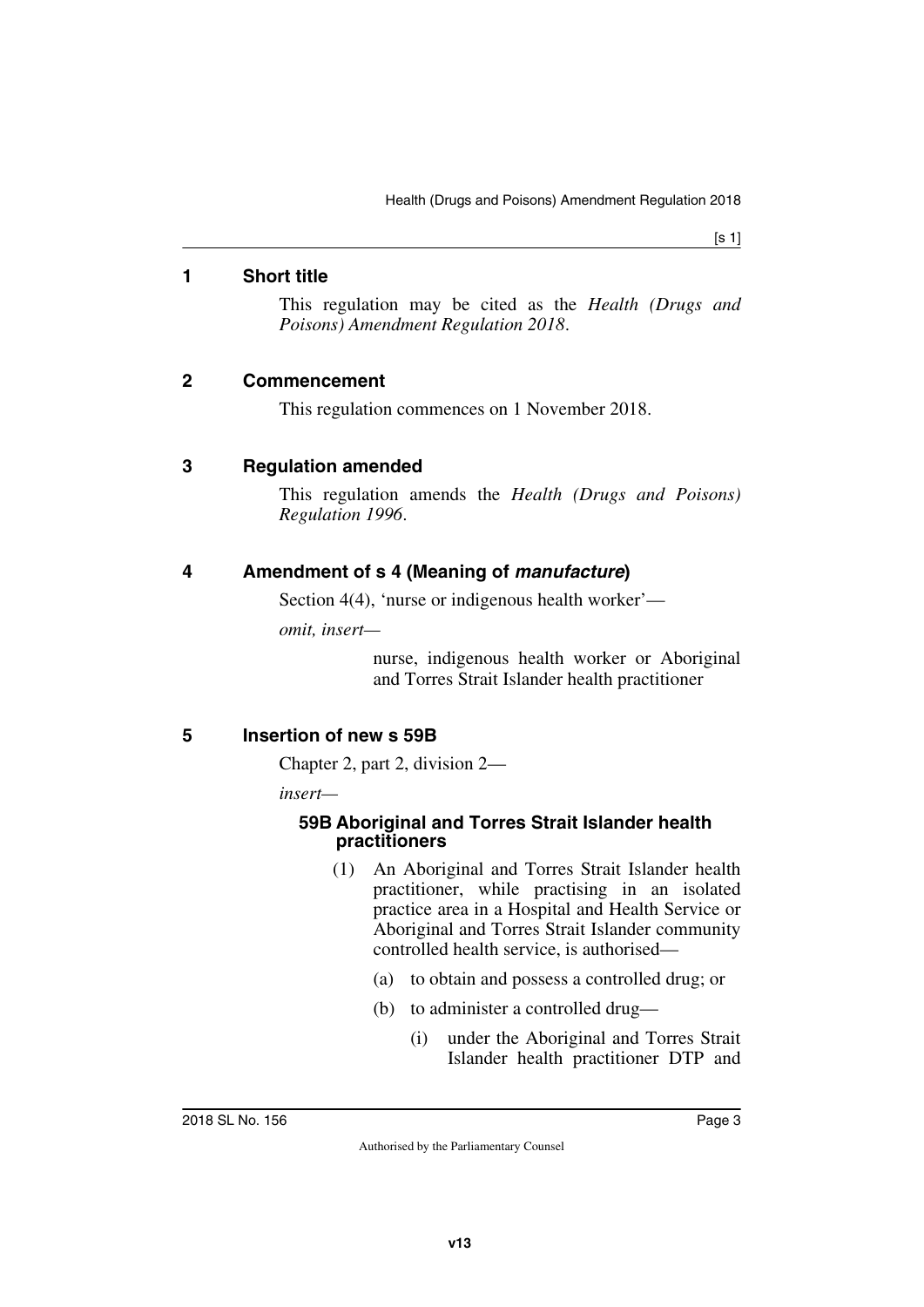#### <span id="page-2-0"></span>**1 Short title**

<span id="page-2-1"></span>This regulation may be cited as the *Health (Drugs and Poisons) Amendment Regulation 2018*.

#### <span id="page-2-2"></span>**2 Commencement**

<span id="page-2-5"></span><span id="page-2-3"></span>This regulation commences on 1 November 2018.

#### <span id="page-2-4"></span>**3 Regulation amended**

This regulation amends the *Health (Drugs and Poisons) Regulation 1996*.

## <span id="page-2-6"></span>**4 Amendment of s 4 (Meaning of** *manufacture***)**

<span id="page-2-7"></span>Section 4(4), 'nurse or indigenous health worker'—

*omit, insert—*

nurse, indigenous health worker or Aboriginal and Torres Strait Islander health practitioner

## <span id="page-2-8"></span>**5 Insertion of new s 59B**

<span id="page-2-9"></span>Chapter 2, part 2, division 2—

*insert—*

#### <span id="page-2-11"></span><span id="page-2-10"></span>**59B Aboriginal and Torres Strait Islander health practitioners**

- (1) An Aboriginal and Torres Strait Islander health practitioner, while practising in an isolated practice area in a Hospital and Health Service or Aboriginal and Torres Strait Islander community controlled health service, is authorised—
	- (a) to obtain and possess a controlled drug; or
	- (b) to administer a controlled drug—
		- (i) under the Aboriginal and Torres Strait Islander health practitioner DTP and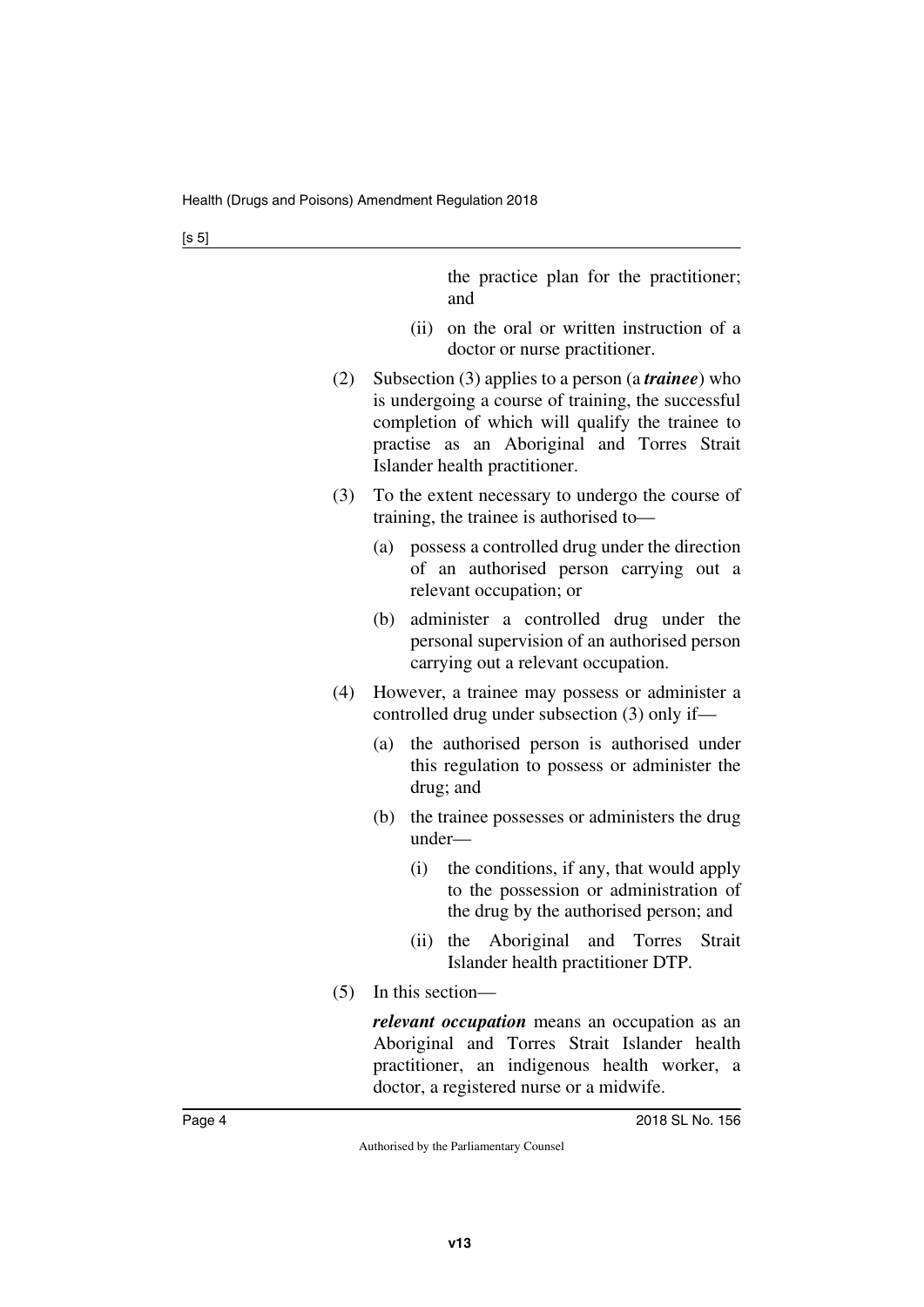[s 5]

|     | the practice plan for the practitioner;<br>and                                                                                                                                                                                                      |
|-----|-----------------------------------------------------------------------------------------------------------------------------------------------------------------------------------------------------------------------------------------------------|
|     | on the oral or written instruction of a<br>(ii)<br>doctor or nurse practitioner.                                                                                                                                                                    |
| (2) | Subsection (3) applies to a person (a <i>trainee</i> ) who<br>is undergoing a course of training, the successful<br>completion of which will qualify the trainee to<br>practise as an Aboriginal and Torres Strait<br>Islander health practitioner. |
| (3) | To the extent necessary to undergo the course of<br>training, the trainee is authorised to-                                                                                                                                                         |
|     | possess a controlled drug under the direction<br>(a)<br>of an authorised person carrying out a<br>relevant occupation; or                                                                                                                           |
|     | administer a controlled drug under the<br>(b)<br>personal supervision of an authorised person<br>carrying out a relevant occupation.                                                                                                                |
| (4) | However, a trainee may possess or administer a<br>controlled drug under subsection (3) only if—                                                                                                                                                     |
|     | the authorised person is authorised under<br>(a)<br>this regulation to possess or administer the<br>drug; and                                                                                                                                       |
|     | the trainee possesses or administers the drug<br>(b)<br>under-                                                                                                                                                                                      |
|     | (i)<br>the conditions, if any, that would apply<br>to the possession or administration of<br>the drug by the authorised person; and                                                                                                                 |
|     | Strait<br>the Aboriginal<br>and Torres<br>(ii)                                                                                                                                                                                                      |

Islander health practitioner DTP. (5) In this section—

> *relevant occupation* means an occupation as an Aboriginal and Torres Strait Islander health practitioner, an indigenous health worker, a doctor, a registered nurse or a midwife.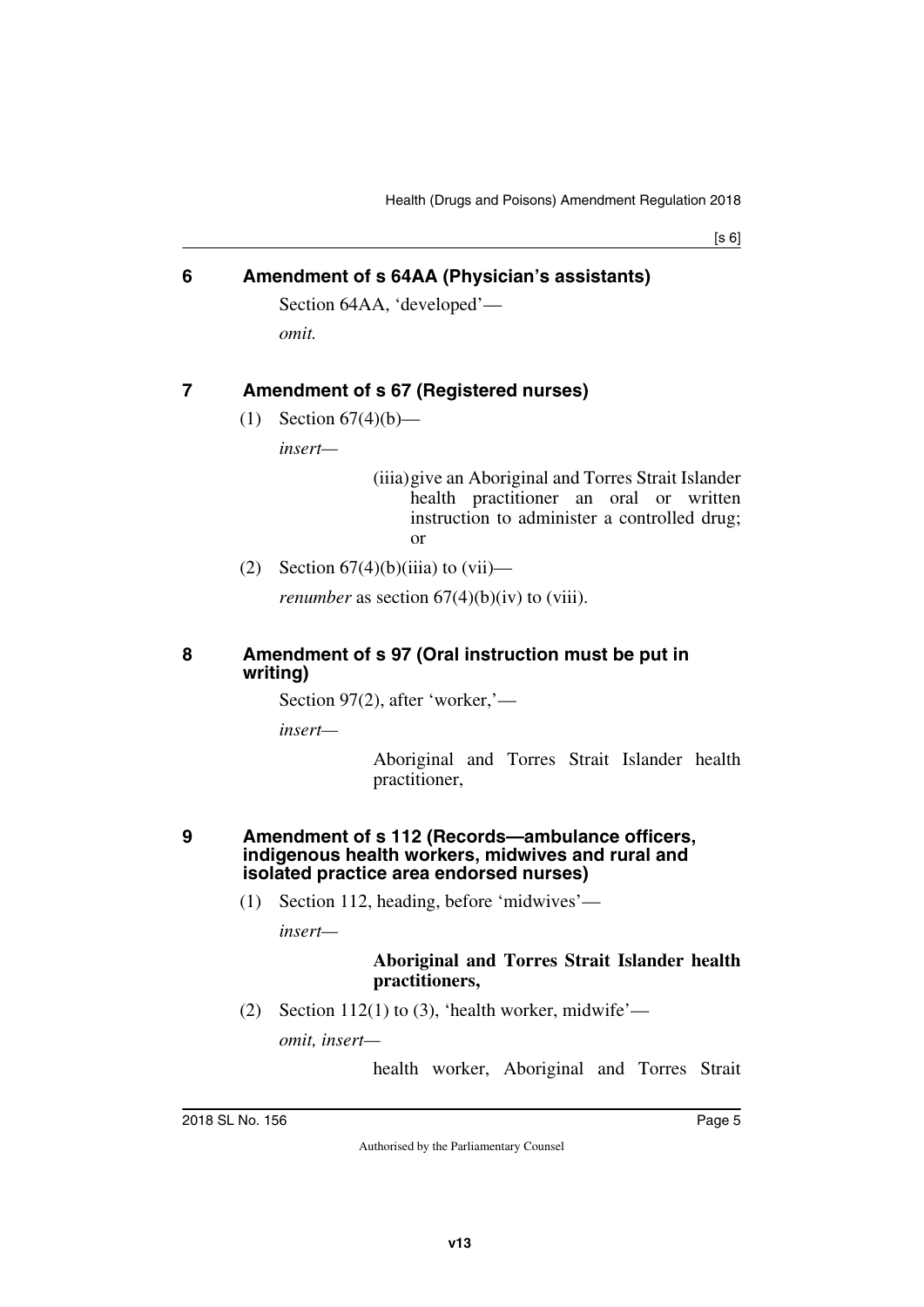#### <span id="page-4-0"></span>**6 Amendment of s 64AA (Physician's assistants)**

<span id="page-4-1"></span>Section 64AA, 'developed' *omit.*

## <span id="page-4-2"></span>**7 Amendment of s 67 (Registered nurses)**

<span id="page-4-3"></span>(1) Section  $67(4)(b)$ —

*insert—*

(iiia)give an Aboriginal and Torres Strait Islander health practitioner an oral or written instruction to administer a controlled drug; or

(2) Section  $67(4)(b)(iii)$  to  $(vii)$ —

<span id="page-4-5"></span>*renumber* as section  $67(4)(b)(iv)$  to (viii).

#### <span id="page-4-4"></span>**8 Amendment of s 97 (Oral instruction must be put in writing)**

Section 97(2), after 'worker,'—

*insert—*

Aboriginal and Torres Strait Islander health practitioner,

#### <span id="page-4-7"></span><span id="page-4-6"></span>**9 Amendment of s 112 (Records—ambulance officers, indigenous health workers, midwives and rural and isolated practice area endorsed nurses)**

(1) Section 112, heading, before 'midwives'—

*insert—*

#### **Aboriginal and Torres Strait Islander health practitioners,**

(2) Section 112(1) to (3), 'health worker, midwife'—

*omit, insert—*

health worker, Aboriginal and Torres Strait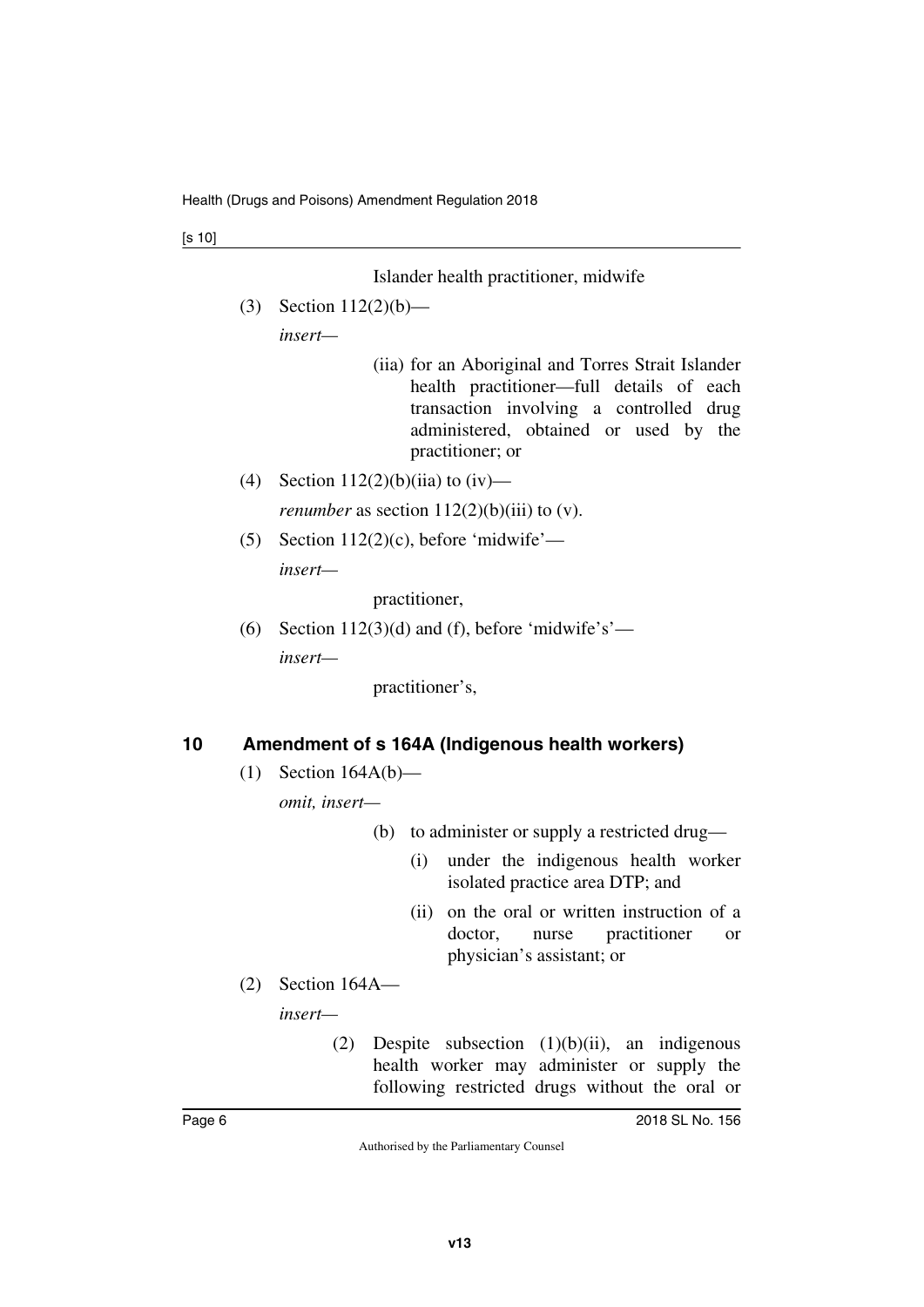Islander health practitioner, midwife

(3) Section 112(2)(b)—

*insert—*

- (iia) for an Aboriginal and Torres Strait Islander health practitioner—full details of each transaction involving a controlled drug administered, obtained or used by the practitioner; or
- (4) Section  $112(2)(b)(ii)$  to  $(iv)$  *renumber* as section  $112(2)(b)(iii)$  to (v).
- (5) Section  $112(2)(c)$ , before 'midwife' *insert—*

practitioner,

(6) Section 112(3)(d) and (f), before 'midwife's' *insert—*

practitioner's,

## <span id="page-5-0"></span>**10 Amendment of s 164A (Indigenous health workers)**

<span id="page-5-1"></span>(1) Section 164A(b)—

*omit, insert—*

(b) to administer or supply a restricted drug—

- (i) under the indigenous health worker isolated practice area DTP; and
- (ii) on the oral or written instruction of a doctor, nurse practitioner or physician's assistant; or
- (2) Section 164A—

*insert—*

(2) Despite subsection  $(1)(b)(ii)$ , an indigenous health worker may administer or supply the following restricted drugs without the oral or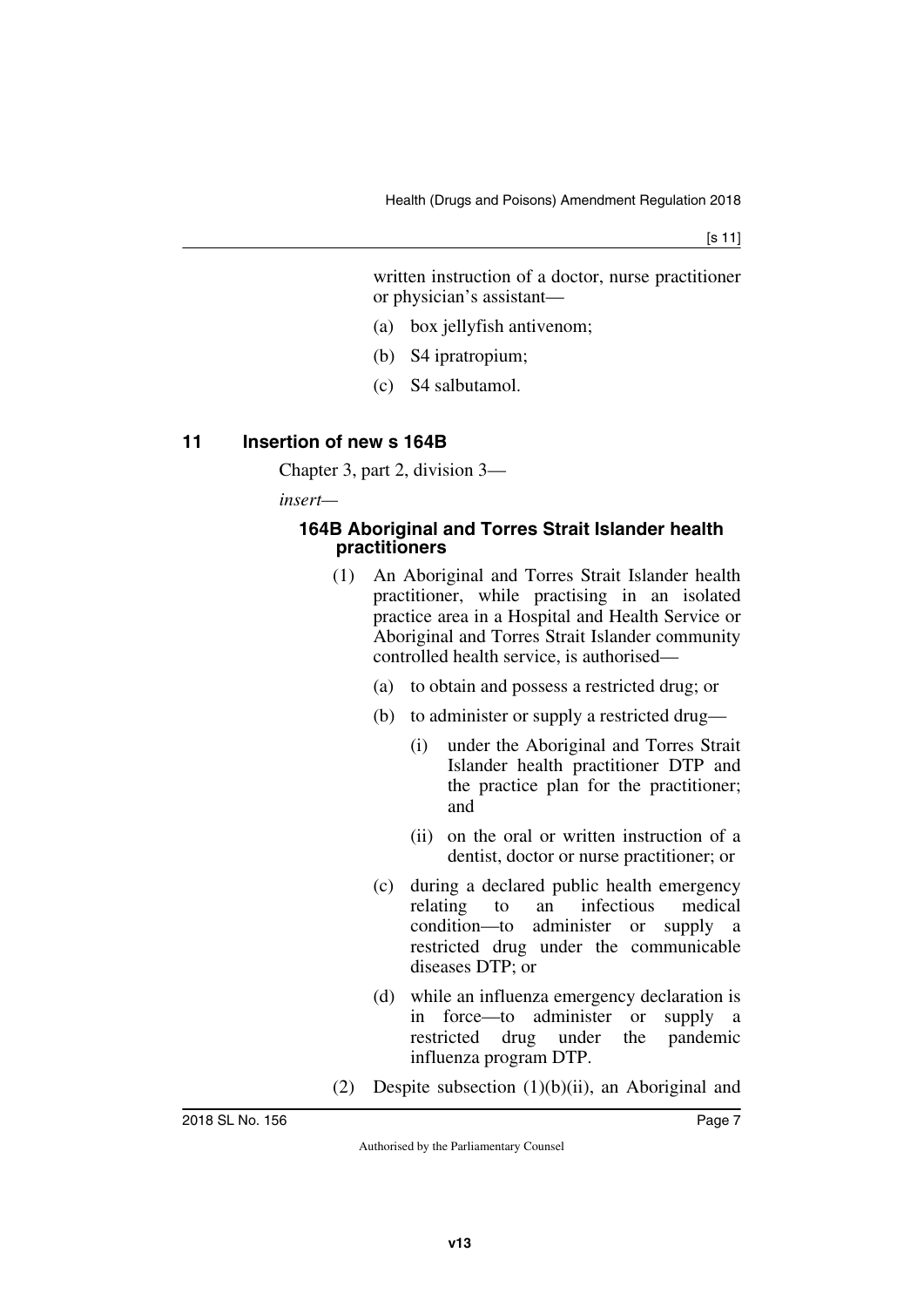written instruction of a doctor, nurse practitioner or physician's assistant—

- (a) box jellyfish antivenom;
- (b) S4 ipratropium;
- (c) S4 salbutamol.

#### <span id="page-6-0"></span>**11 Insertion of new s 164B**

<span id="page-6-1"></span>Chapter 3, part 2, division 3—

*insert—*

#### <span id="page-6-3"></span><span id="page-6-2"></span>**164B Aboriginal and Torres Strait Islander health practitioners**

- (1) An Aboriginal and Torres Strait Islander health practitioner, while practising in an isolated practice area in a Hospital and Health Service or Aboriginal and Torres Strait Islander community controlled health service, is authorised—
	- (a) to obtain and possess a restricted drug; or
	- (b) to administer or supply a restricted drug—
		- (i) under the Aboriginal and Torres Strait Islander health practitioner DTP and the practice plan for the practitioner; and
		- (ii) on the oral or written instruction of a dentist, doctor or nurse practitioner; or
	- (c) during a declared public health emergency relating to an infectious medical condition—to administer or supply a restricted drug under the communicable diseases DTP; or
	- (d) while an influenza emergency declaration is in force—to administer or supply a restricted drug under the pandemic influenza program DTP.
- (2) Despite subsection (1)(b)(ii), an Aboriginal and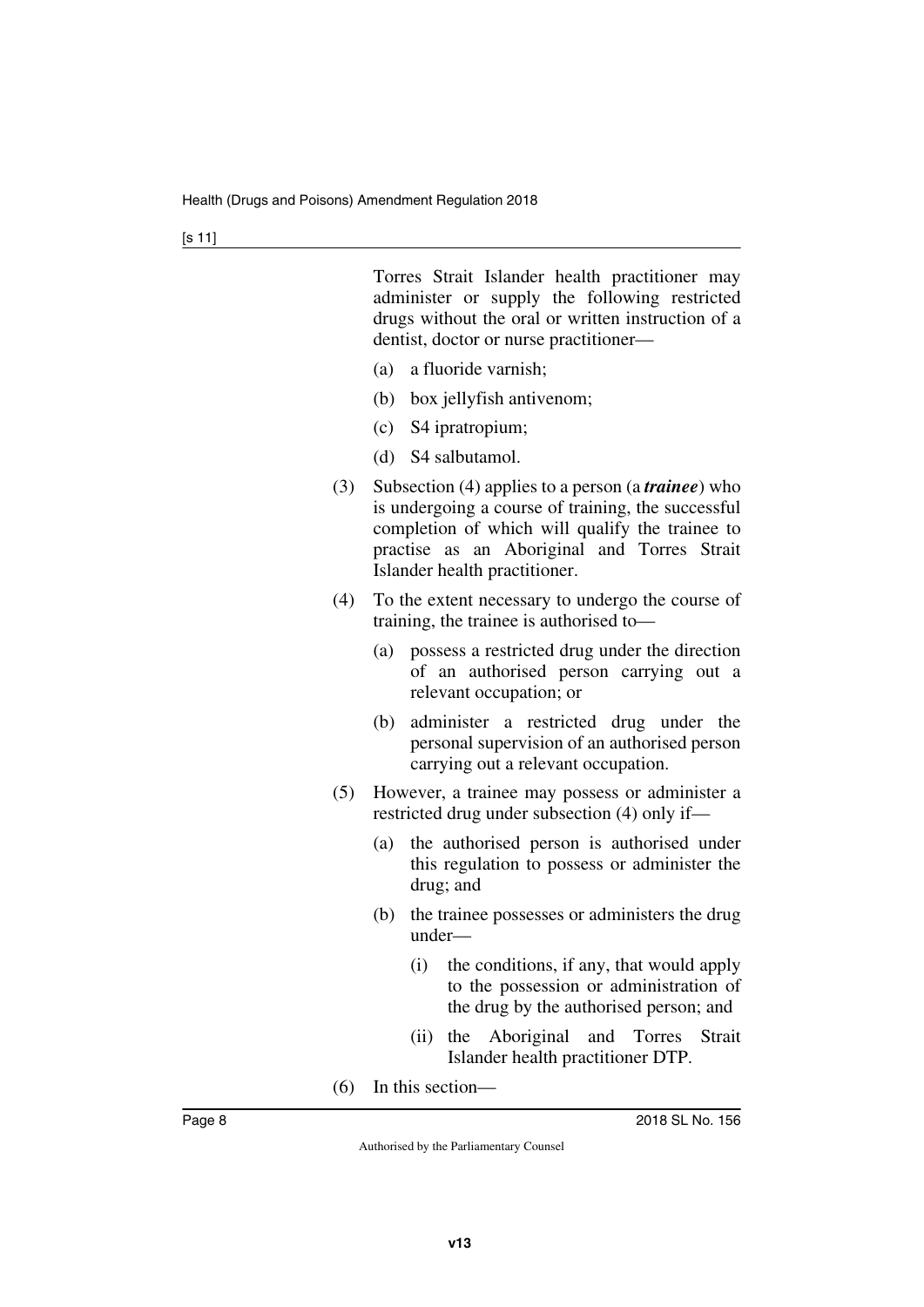Torres Strait Islander health practitioner may administer or supply the following restricted drugs without the oral or written instruction of a dentist, doctor or nurse practitioner—

- (a) a fluoride varnish;
- (b) box jellyfish antivenom;
- (c) S4 ipratropium;
- (d) S4 salbutamol.
- (3) Subsection (4) applies to a person (a *trainee*) who is undergoing a course of training, the successful completion of which will qualify the trainee to practise as an Aboriginal and Torres Strait Islander health practitioner.
- (4) To the extent necessary to undergo the course of training, the trainee is authorised to—
	- (a) possess a restricted drug under the direction of an authorised person carrying out a relevant occupation; or
	- (b) administer a restricted drug under the personal supervision of an authorised person carrying out a relevant occupation.
- (5) However, a trainee may possess or administer a restricted drug under subsection (4) only if—
	- (a) the authorised person is authorised under this regulation to possess or administer the drug; and
	- (b) the trainee possesses or administers the drug under—
		- (i) the conditions, if any, that would apply to the possession or administration of the drug by the authorised person; and
		- (ii) the Aboriginal and Torres Strait Islander health practitioner DTP.
- (6) In this section—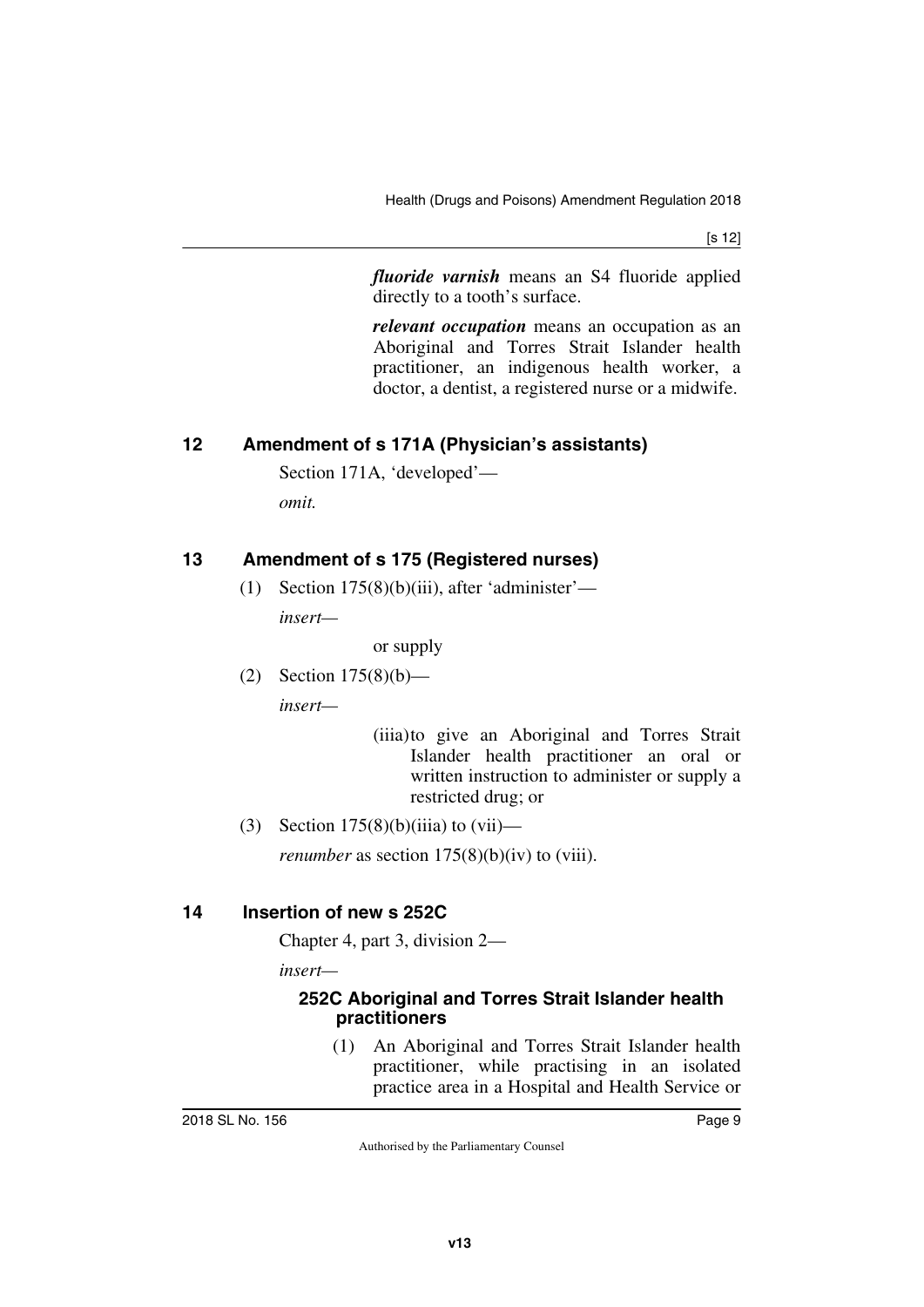[s 12]

*fluoride varnish* means an S4 fluoride applied directly to a tooth's surface.

*relevant occupation* means an occupation as an Aboriginal and Torres Strait Islander health practitioner, an indigenous health worker, a doctor, a dentist, a registered nurse or a midwife.

# <span id="page-8-0"></span>**12 Amendment of s 171A (Physician's assistants)**

<span id="page-8-1"></span>Section 171A, 'developed' *omit.*

# <span id="page-8-2"></span>**13 Amendment of s 175 (Registered nurses)**

<span id="page-8-3"></span>(1) Section  $175(8)(b)(iii)$ , after 'administer' *insert—*

or supply

(2) Section 175(8)(b)—

*insert—*

(iiia)to give an Aboriginal and Torres Strait Islander health practitioner an oral or written instruction to administer or supply a restricted drug; or

(3) Section  $175(8)(b)(iii)$  to  $(vii)$ —

<span id="page-8-5"></span>*renumber* as section  $175(8)(b)(iv)$  to (viii).

## <span id="page-8-4"></span>**14 Insertion of new s 252C**

Chapter 4, part 3, division 2—

*insert—*

#### <span id="page-8-7"></span><span id="page-8-6"></span>**252C Aboriginal and Torres Strait Islander health practitioners**

(1) An Aboriginal and Torres Strait Islander health practitioner, while practising in an isolated practice area in a Hospital and Health Service or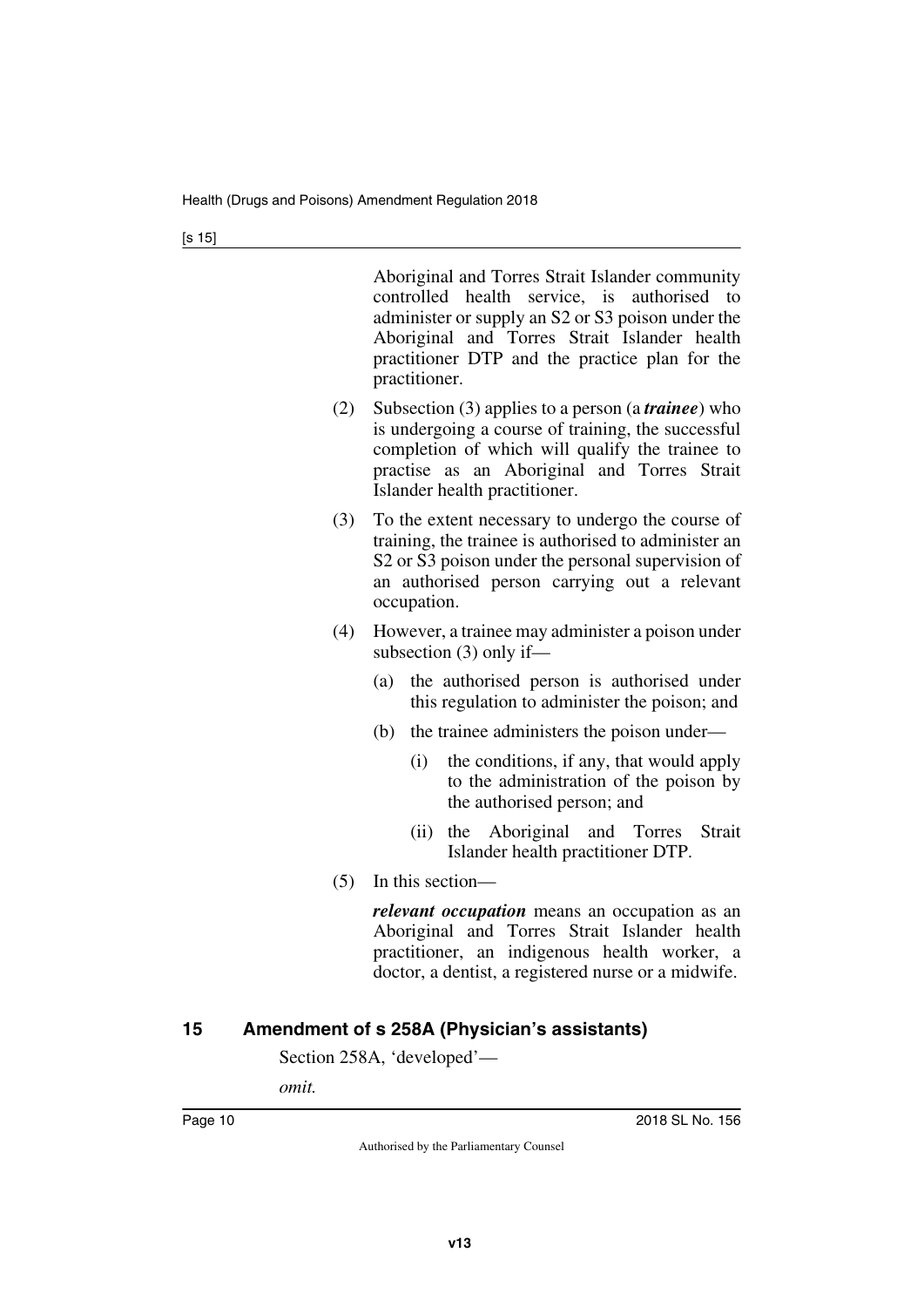Aboriginal and Torres Strait Islander community controlled health service, is authorised to administer or supply an S2 or S3 poison under the Aboriginal and Torres Strait Islander health practitioner DTP and the practice plan for the practitioner.

- (2) Subsection (3) applies to a person (a *trainee*) who is undergoing a course of training, the successful completion of which will qualify the trainee to practise as an Aboriginal and Torres Strait Islander health practitioner.
- (3) To the extent necessary to undergo the course of training, the trainee is authorised to administer an S2 or S3 poison under the personal supervision of an authorised person carrying out a relevant occupation.
- (4) However, a trainee may administer a poison under subsection (3) only if—
	- (a) the authorised person is authorised under this regulation to administer the poison; and
	- (b) the trainee administers the poison under—
		- (i) the conditions, if any, that would apply to the administration of the poison by the authorised person; and
		- (ii) the Aboriginal and Torres Strait Islander health practitioner DTP.
- (5) In this section—

*relevant occupation* means an occupation as an Aboriginal and Torres Strait Islander health practitioner, an indigenous health worker, a doctor, a dentist, a registered nurse or a midwife.

# <span id="page-9-0"></span>**15 Amendment of s 258A (Physician's assistants)**

<span id="page-9-1"></span>Section 258A, 'developed'—

*omit.*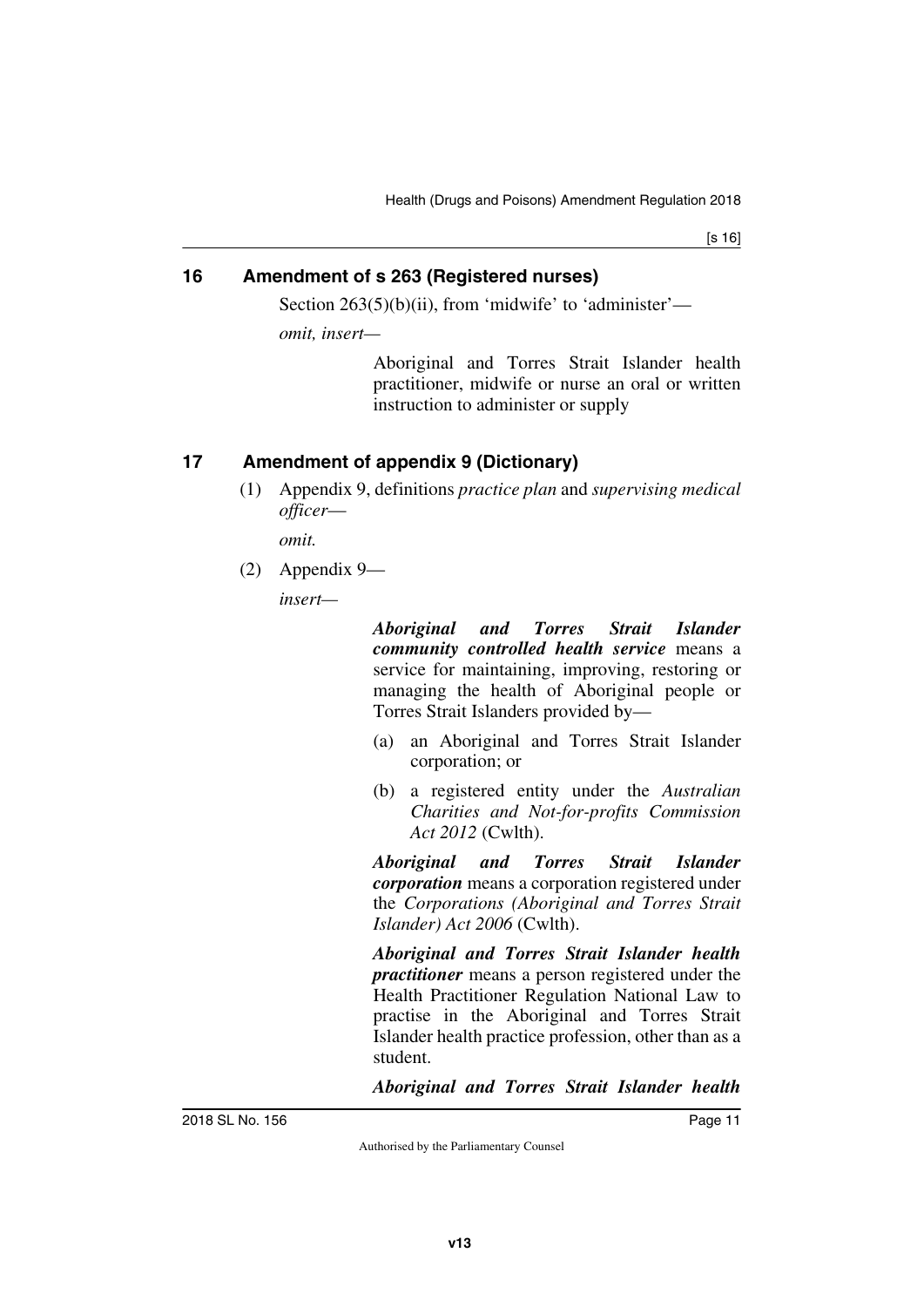[s 16]

### <span id="page-10-0"></span>**16 Amendment of s 263 (Registered nurses)**

<span id="page-10-1"></span>Section 263(5)(b)(ii), from 'midwife' to 'administer'—

*omit, insert—*

Aboriginal and Torres Strait Islander health practitioner, midwife or nurse an oral or written instruction to administer or supply

# <span id="page-10-2"></span>**17 Amendment of appendix 9 (Dictionary)**

<span id="page-10-3"></span>(1) Appendix 9, definitions *practice plan* and *supervising medical officer*—

*omit.*

(2) Appendix 9—

*insert—*

*Aboriginal and Torres Strait Islander community controlled health service* means a service for maintaining, improving, restoring or managing the health of Aboriginal people or Torres Strait Islanders provided by—

- (a) an Aboriginal and Torres Strait Islander corporation; or
- (b) a registered entity under the *Australian Charities and Not-for-profits Commission Act 2012* (Cwlth).

*Aboriginal and Torres Strait Islander corporation* means a corporation registered under the *Corporations (Aboriginal and Torres Strait Islander) Act 2006* (Cwlth).

*Aboriginal and Torres Strait Islander health practitioner* means a person registered under the Health Practitioner Regulation National Law to practise in the Aboriginal and Torres Strait Islander health practice profession, other than as a student.

*Aboriginal and Torres Strait Islander health*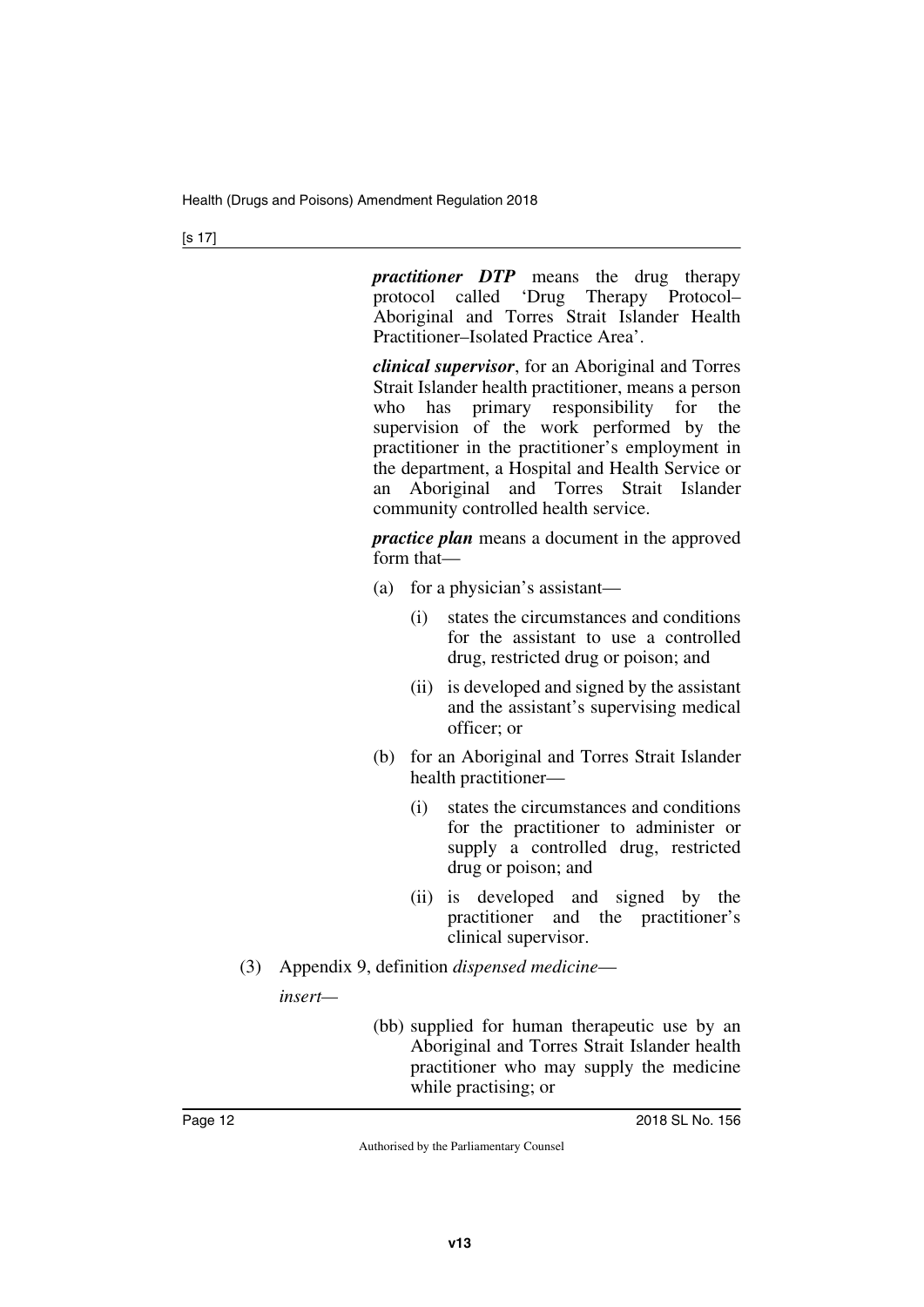*practitioner DTP* means the drug therapy protocol called 'Drug Therapy Protocol– Aboriginal and Torres Strait Islander Health Practitioner–Isolated Practice Area'.

*clinical supervisor*, for an Aboriginal and Torres Strait Islander health practitioner, means a person who has primary responsibility for the supervision of the work performed by the practitioner in the practitioner's employment in the department, a Hospital and Health Service or an Aboriginal and Torres Strait Islander community controlled health service.

*practice plan* means a document in the approved form that—

- (a) for a physician's assistant—
	- (i) states the circumstances and conditions for the assistant to use a controlled drug, restricted drug or poison; and
	- (ii) is developed and signed by the assistant and the assistant's supervising medical officer; or
- (b) for an Aboriginal and Torres Strait Islander health practitioner—
	- (i) states the circumstances and conditions for the practitioner to administer or supply a controlled drug, restricted drug or poison; and
	- (ii) is developed and signed by the practitioner and the practitioner's clinical supervisor.
- (3) Appendix 9, definition *dispensed medicine insert—*
	- (bb) supplied for human therapeutic use by an Aboriginal and Torres Strait Islander health practitioner who may supply the medicine while practising; or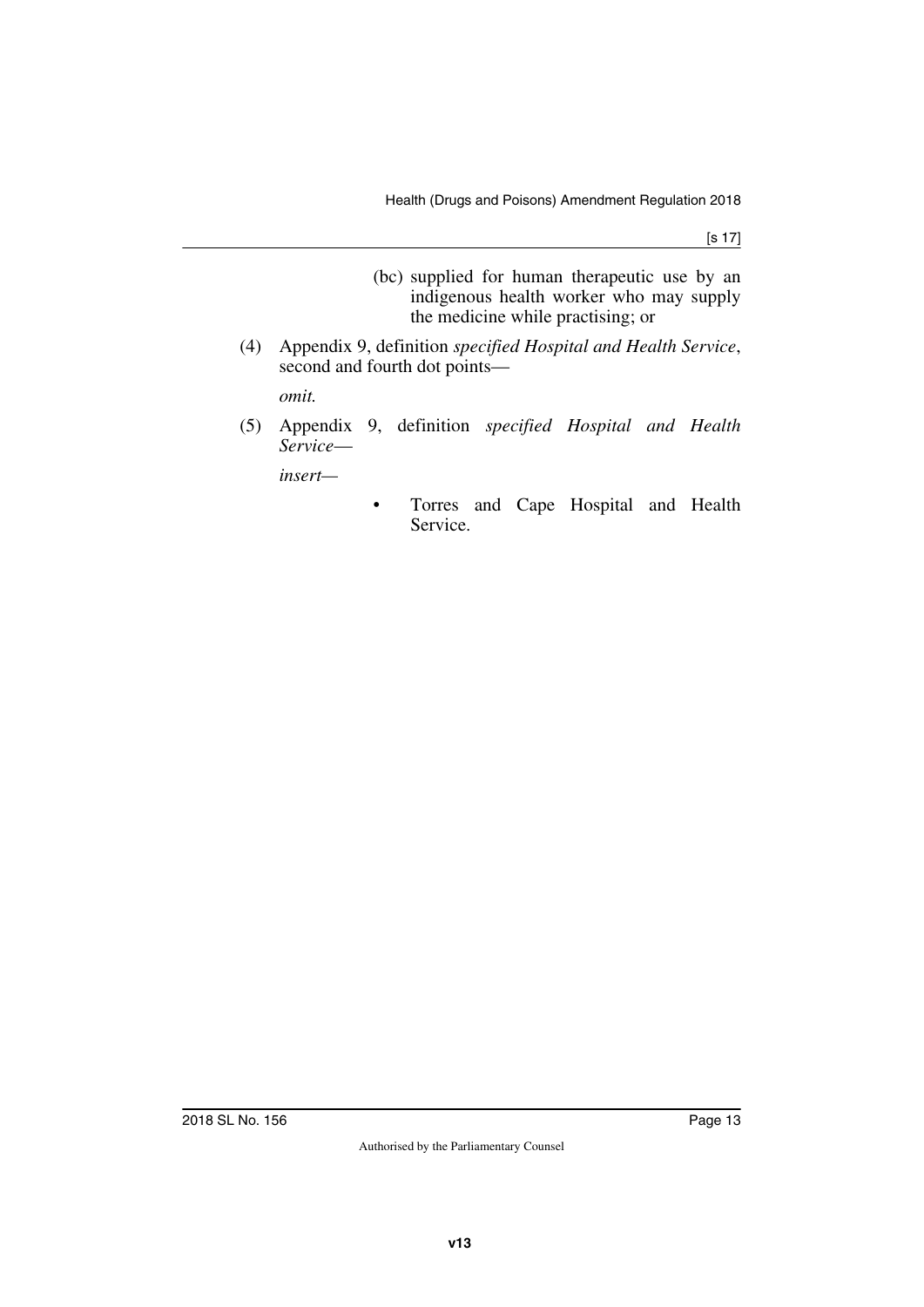- (bc) supplied for human therapeutic use by an indigenous health worker who may supply the medicine while practising; or
- (4) Appendix 9, definition *specified Hospital and Health Service*, second and fourth dot points—

*omit.*

(5) Appendix 9, definition *specified Hospital and Health Service*—

*insert—*

• Torres and Cape Hospital and Health Service.